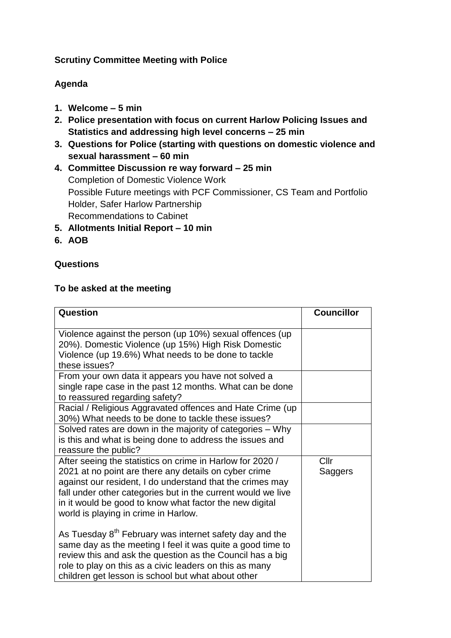### **Scrutiny Committee Meeting with Police**

# **Agenda**

- **1. Welcome – 5 min**
- **2. Police presentation with focus on current Harlow Policing Issues and Statistics and addressing high level concerns – 25 min**
- **3. Questions for Police (starting with questions on domestic violence and sexual harassment – 60 min**
- **4. Committee Discussion re way forward – 25 min** Completion of Domestic Violence Work Possible Future meetings with PCF Commissioner, CS Team and Portfolio Holder, Safer Harlow Partnership Recommendations to Cabinet
- **5. Allotments Initial Report – 10 min**
- **6. AOB**

# **Questions**

#### **To be asked at the meeting**

| Question                                                                                                                                                                                                                                                                                                                                           | <b>Councillor</b> |
|----------------------------------------------------------------------------------------------------------------------------------------------------------------------------------------------------------------------------------------------------------------------------------------------------------------------------------------------------|-------------------|
| Violence against the person (up 10%) sexual offences (up<br>20%). Domestic Violence (up 15%) High Risk Domestic<br>Violence (up 19.6%) What needs to be done to tackle<br>these issues?                                                                                                                                                            |                   |
| From your own data it appears you have not solved a<br>single rape case in the past 12 months. What can be done<br>to reassured regarding safety?                                                                                                                                                                                                  |                   |
| Racial / Religious Aggravated offences and Hate Crime (up<br>30%) What needs to be done to tackle these issues?                                                                                                                                                                                                                                    |                   |
| Solved rates are down in the majority of categories - Why<br>is this and what is being done to address the issues and<br>reassure the public?                                                                                                                                                                                                      |                   |
| After seeing the statistics on crime in Harlow for 2020 /<br>2021 at no point are there any details on cyber crime<br>against our resident, I do understand that the crimes may<br>fall under other categories but in the current would we live<br>in it would be good to know what factor the new digital<br>world is playing in crime in Harlow. | Cllr<br>Saggers   |
| As Tuesday 8 <sup>th</sup> February was internet safety day and the<br>same day as the meeting I feel it was quite a good time to<br>review this and ask the question as the Council has a big<br>role to play on this as a civic leaders on this as many<br>children get lesson is school but what about other                                    |                   |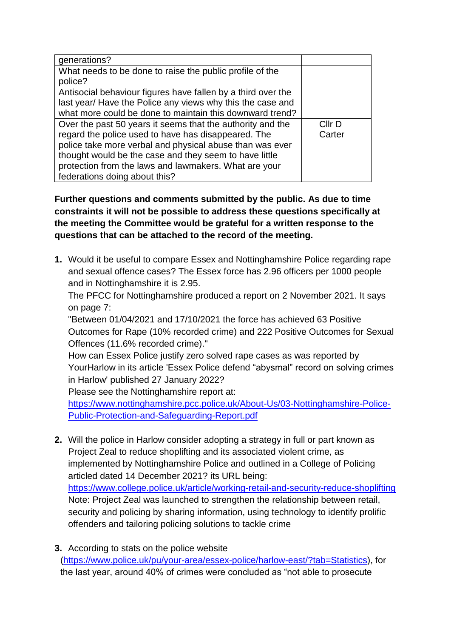| generations?                                                 |        |
|--------------------------------------------------------------|--------|
| What needs to be done to raise the public profile of the     |        |
| police?                                                      |        |
| Antisocial behaviour figures have fallen by a third over the |        |
| last year/ Have the Police any views why this the case and   |        |
| what more could be done to maintain this downward trend?     |        |
| Over the past 50 years it seems that the authority and the   | Cllr D |
| regard the police used to have has disappeared. The          | Carter |
| police take more verbal and physical abuse than was ever     |        |
| thought would be the case and they seem to have little       |        |
| protection from the laws and lawmakers. What are your        |        |
| federations doing about this?                                |        |

**Further questions and comments submitted by the public. As due to time constraints it will not be possible to address these questions specifically at the meeting the Committee would be grateful for a written response to the questions that can be attached to the record of the meeting.**

**1.** Would it be useful to compare Essex and Nottinghamshire Police regarding rape and sexual offence cases? The Essex force has 2.96 officers per 1000 people and in Nottinghamshire it is 2.95.

The PFCC for Nottinghamshire produced a report on 2 November 2021. It says on page 7:

"Between 01/04/2021 and 17/10/2021 the force has achieved 63 Positive Outcomes for Rape (10% recorded crime) and 222 Positive Outcomes for Sexual Offences (11.6% recorded crime)."

How can Essex Police justify zero solved rape cases as was reported by YourHarlow in its article 'Essex Police defend "abysmal" record on solving crimes in Harlow' published 27 January 2022?

Please see the Nottinghamshire report at:

[https://www.nottinghamshire.pcc.police.uk/About-Us/03-Nottinghamshire-Police-](https://www.nottinghamshire.pcc.police.uk/About-Us/03-Nottinghamshire-Police-Public-Protection-and-Safeguarding-Report.pdf)[Public-Protection-and-Safeguarding-Report.pdf](https://www.nottinghamshire.pcc.police.uk/About-Us/03-Nottinghamshire-Police-Public-Protection-and-Safeguarding-Report.pdf)

- **2.** Will the police in Harlow consider adopting a strategy in full or part known as Project Zeal to reduce shoplifting and its associated violent crime, as implemented by Nottinghamshire Police and outlined in a College of Policing articled dated 14 December 2021? its URL being: <https://www.college.police.uk/article/working-retail-and-security-reduce-shoplifting> Note: Project Zeal was launched to strengthen the relationship between retail, security and policing by sharing information, using technology to identify prolific offenders and tailoring policing solutions to tackle crime
- **3.** According to stats on the police website [\(https://www.police.uk/pu/your-area/essex-police/harlow-east/?tab=Statistics\)](https://www.police.uk/pu/your-area/essex-police/harlow-east/?tab=Statistics), for the last year, around 40% of crimes were concluded as "not able to prosecute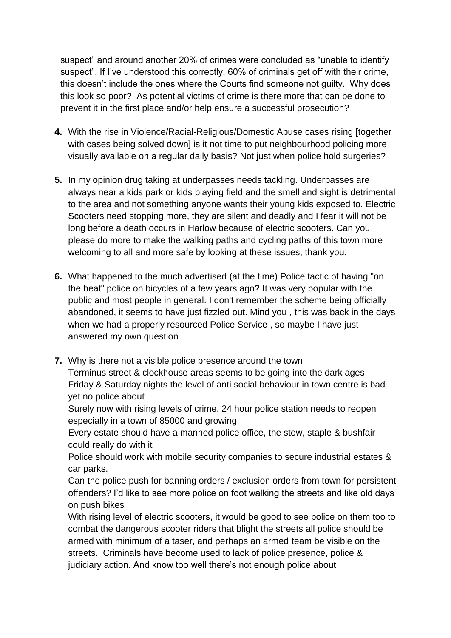suspect" and around another 20% of crimes were concluded as "unable to identify suspect". If I've understood this correctly, 60% of criminals get off with their crime, this doesn't include the ones where the Courts find someone not guilty. Why does this look so poor? As potential victims of crime is there more that can be done to prevent it in the first place and/or help ensure a successful prosecution?

- **4.** With the rise in Violence/Racial-Religious/Domestic Abuse cases rising [together with cases being solved down] is it not time to put neighbourhood policing more visually available on a regular daily basis? Not just when police hold surgeries?
- **5.** In my opinion drug taking at underpasses needs tackling. Underpasses are always near a kids park or kids playing field and the smell and sight is detrimental to the area and not something anyone wants their young kids exposed to. Electric Scooters need stopping more, they are silent and deadly and I fear it will not be long before a death occurs in Harlow because of electric scooters. Can you please do more to make the walking paths and cycling paths of this town more welcoming to all and more safe by looking at these issues, thank you.
- **6.** What happened to the much advertised (at the time) Police tactic of having "on the beat" police on bicycles of a few years ago? It was very popular with the public and most people in general. I don't remember the scheme being officially abandoned, it seems to have just fizzled out. Mind you , this was back in the days when we had a properly resourced Police Service , so maybe I have just answered my own question
- **7.** Why is there not a visible police presence around the town Terminus street & clockhouse areas seems to be going into the dark ages Friday & Saturday nights the level of anti social behaviour in town centre is bad yet no police about

Surely now with rising levels of crime, 24 hour police station needs to reopen especially in a town of 85000 and growing

Every estate should have a manned police office, the stow, staple & bushfair could really do with it

Police should work with mobile security companies to secure industrial estates & car parks.

Can the police push for banning orders / exclusion orders from town for persistent offenders? I'd like to see more police on foot walking the streets and like old days on push bikes

With rising level of electric scooters, it would be good to see police on them too to combat the dangerous scooter riders that blight the streets all police should be armed with minimum of a taser, and perhaps an armed team be visible on the streets. Criminals have become used to lack of police presence, police & judiciary action. And know too well there's not enough police about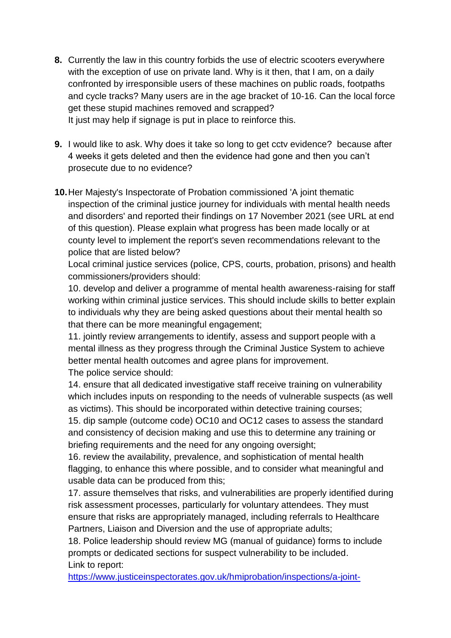- **8.** Currently the law in this country forbids the use of electric scooters everywhere with the exception of use on private land. Why is it then, that I am, on a daily confronted by irresponsible users of these machines on public roads, footpaths and cycle tracks? Many users are in the age bracket of 10-16. Can the local force get these stupid machines removed and scrapped? It just may help if signage is put in place to reinforce this.
- **9.** I would like to ask. Why does it take so long to get cctv evidence? because after 4 weeks it gets deleted and then the evidence had gone and then you can't prosecute due to no evidence?
- **10.**Her Majesty's Inspectorate of Probation commissioned 'A joint thematic inspection of the criminal justice journey for individuals with mental health needs and disorders' and reported their findings on 17 November 2021 (see URL at end of this question). Please explain what progress has been made locally or at county level to implement the report's seven recommendations relevant to the police that are listed below?

Local criminal justice services (police, CPS, courts, probation, prisons) and health commissioners/providers should:

10. develop and deliver a programme of mental health awareness-raising for staff working within criminal justice services. This should include skills to better explain to individuals why they are being asked questions about their mental health so that there can be more meaningful engagement;

11. jointly review arrangements to identify, assess and support people with a mental illness as they progress through the Criminal Justice System to achieve better mental health outcomes and agree plans for improvement. The police service should:

14. ensure that all dedicated investigative staff receive training on vulnerability which includes inputs on responding to the needs of vulnerable suspects (as well as victims). This should be incorporated within detective training courses; 15. dip sample (outcome code) OC10 and OC12 cases to assess the standard and consistency of decision making and use this to determine any training or briefing requirements and the need for any ongoing oversight;

16. review the availability, prevalence, and sophistication of mental health flagging, to enhance this where possible, and to consider what meaningful and usable data can be produced from this;

17. assure themselves that risks, and vulnerabilities are properly identified during risk assessment processes, particularly for voluntary attendees. They must ensure that risks are appropriately managed, including referrals to Healthcare Partners, Liaison and Diversion and the use of appropriate adults;

18. Police leadership should review MG (manual of guidance) forms to include prompts or dedicated sections for suspect vulnerability to be included. Link to report:

[https://www.justiceinspectorates.gov.uk/hmiprobation/inspections/a-joint-](https://www.justiceinspectorates.gov.uk/hmiprobation/inspections/a-joint-thematic-inspection-of-the-criminal-justice-journey-for-individuals-with-mental-health-needs-and-disorders/)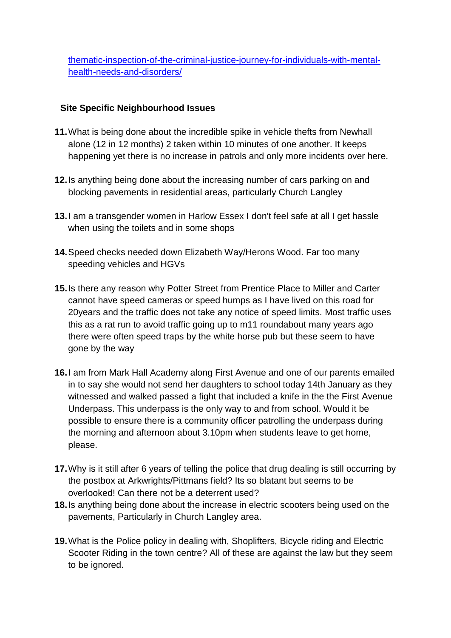[thematic-inspection-of-the-criminal-justice-journey-for-individuals-with-mental](https://www.justiceinspectorates.gov.uk/hmiprobation/inspections/a-joint-thematic-inspection-of-the-criminal-justice-journey-for-individuals-with-mental-health-needs-and-disorders/)[health-needs-and-disorders/](https://www.justiceinspectorates.gov.uk/hmiprobation/inspections/a-joint-thematic-inspection-of-the-criminal-justice-journey-for-individuals-with-mental-health-needs-and-disorders/)

### **Site Specific Neighbourhood Issues**

- **11.**What is being done about the incredible spike in vehicle thefts from Newhall alone (12 in 12 months) 2 taken within 10 minutes of one another. It keeps happening yet there is no increase in patrols and only more incidents over here.
- **12.**Is anything being done about the increasing number of cars parking on and blocking pavements in residential areas, particularly Church Langley
- **13.**I am a transgender women in Harlow Essex I don't feel safe at all I get hassle when using the toilets and in some shops
- **14.**Speed checks needed down Elizabeth Way/Herons Wood. Far too many speeding vehicles and HGVs
- **15.**Is there any reason why Potter Street from Prentice Place to Miller and Carter cannot have speed cameras or speed humps as I have lived on this road for 20years and the traffic does not take any notice of speed limits. Most traffic uses this as a rat run to avoid traffic going up to m11 roundabout many years ago there were often speed traps by the white horse pub but these seem to have gone by the way
- **16.**I am from Mark Hall Academy along First Avenue and one of our parents emailed in to say she would not send her daughters to school today 14th January as they witnessed and walked passed a fight that included a knife in the the First Avenue Underpass. This underpass is the only way to and from school. Would it be possible to ensure there is a community officer patrolling the underpass during the morning and afternoon about 3.10pm when students leave to get home, please.
- **17.**Why is it still after 6 years of telling the police that drug dealing is still occurring by the postbox at Arkwrights/Pittmans field? Its so blatant but seems to be overlooked! Can there not be a deterrent used?
- **18.**Is anything being done about the increase in electric scooters being used on the pavements, Particularly in Church Langley area.
- **19.**What is the Police policy in dealing with, Shoplifters, Bicycle riding and Electric Scooter Riding in the town centre? All of these are against the law but they seem to be ignored.